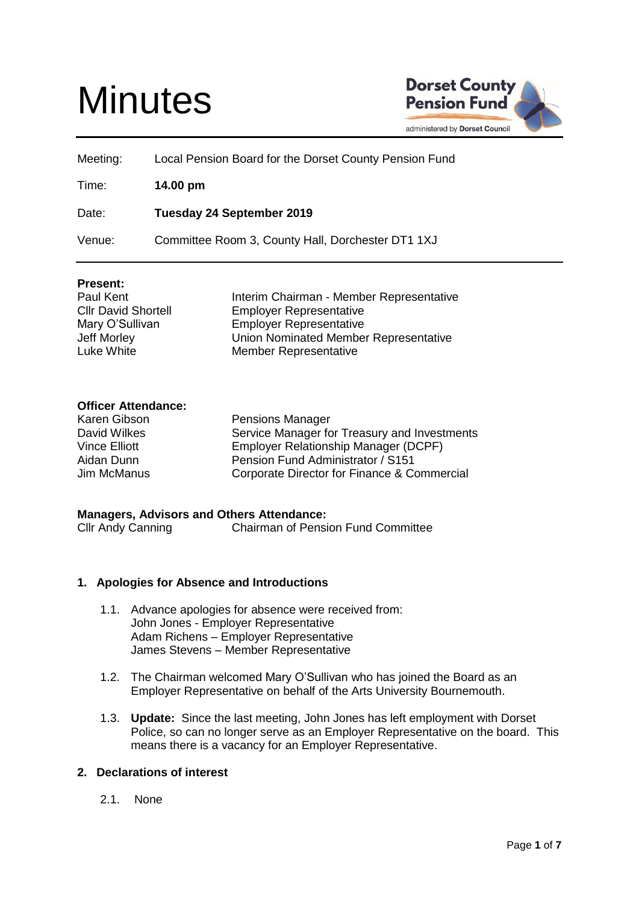# **Minutes**



| Meeting: | Local Pension Board for the Dorset County Pension Fund |
|----------|--------------------------------------------------------|
| Time:    | 14.00 pm                                               |
| Date:    | Tuesday 24 September 2019                              |
| Venue:   | Committee Room 3, County Hall, Dorchester DT1 1XJ      |

## **Present:**

| Paul Kent                  | Interim Chairman - Member Representative |
|----------------------------|------------------------------------------|
| <b>Cllr David Shortell</b> | <b>Employer Representative</b>           |
| Mary O'Sullivan            | <b>Employer Representative</b>           |
| Jeff Morley                | Union Nominated Member Representative    |
| Luke White                 | <b>Member Representative</b>             |
|                            |                                          |

# **Officer Attendance:**

| Karen Gibson  | <b>Pensions Manager</b>                      |
|---------------|----------------------------------------------|
| David Wilkes  | Service Manager for Treasury and Investments |
| Vince Elliott | Employer Relationship Manager (DCPF)         |
| Aidan Dunn    | Pension Fund Administrator / S151            |
| Jim McManus   | Corporate Director for Finance & Commercial  |

#### **Managers, Advisors and Others Attendance:**

Cllr Andy Canning Chairman of Pension Fund Committee

## **1. Apologies for Absence and Introductions**

- 1.1. Advance apologies for absence were received from: John Jones - Employer Representative Adam Richens – Employer Representative James Stevens – Member Representative
- 1.2. The Chairman welcomed Mary O'Sullivan who has joined the Board as an Employer Representative on behalf of the Arts University Bournemouth.
- 1.3. **Update:** Since the last meeting, John Jones has left employment with Dorset Police, so can no longer serve as an Employer Representative on the board. This means there is a vacancy for an Employer Representative.

## **2. Declarations of interest**

2.1. None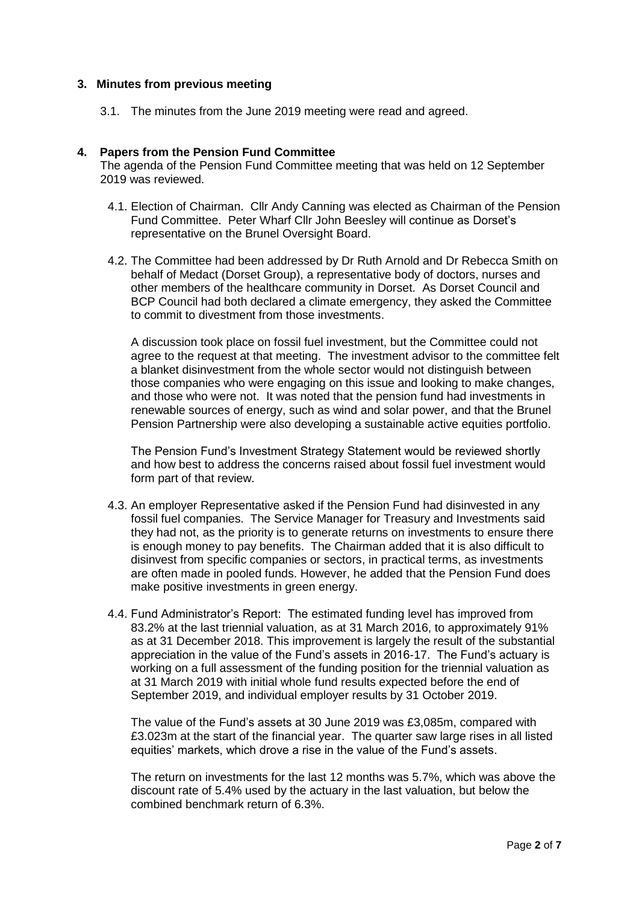## **3. Minutes from previous meeting**

3.1. The minutes from the June 2019 meeting were read and agreed.

## **4. Papers from the Pension Fund Committee**

The agenda of the Pension Fund Committee meeting that was held on 12 September 2019 was reviewed.

- 4.1. Election of Chairman. Cllr Andy Canning was elected as Chairman of the Pension Fund Committee. Peter Wharf Cllr John Beesley will continue as Dorset's representative on the Brunel Oversight Board.
- 4.2. The Committee had been addressed by Dr Ruth Arnold and Dr Rebecca Smith on behalf of Medact (Dorset Group), a representative body of doctors, nurses and other members of the healthcare community in Dorset. As Dorset Council and BCP Council had both declared a climate emergency, they asked the Committee to commit to divestment from those investments.

A discussion took place on fossil fuel investment, but the Committee could not agree to the request at that meeting. The investment advisor to the committee felt a blanket disinvestment from the whole sector would not distinguish between those companies who were engaging on this issue and looking to make changes, and those who were not. It was noted that the pension fund had investments in renewable sources of energy, such as wind and solar power, and that the Brunel Pension Partnership were also developing a sustainable active equities portfolio.

The Pension Fund's Investment Strategy Statement would be reviewed shortly and how best to address the concerns raised about fossil fuel investment would form part of that review.

- 4.3. An employer Representative asked if the Pension Fund had disinvested in any fossil fuel companies. The Service Manager for Treasury and Investments said they had not, as the priority is to generate returns on investments to ensure there is enough money to pay benefits. The Chairman added that it is also difficult to disinvest from specific companies or sectors, in practical terms, as investments are often made in pooled funds. However, he added that the Pension Fund does make positive investments in green energy.
- 4.4. Fund Administrator's Report: The estimated funding level has improved from 83.2% at the last triennial valuation, as at 31 March 2016, to approximately 91% as at 31 December 2018. This improvement is largely the result of the substantial appreciation in the value of the Fund's assets in 2016-17. The Fund's actuary is working on a full assessment of the funding position for the triennial valuation as at 31 March 2019 with initial whole fund results expected before the end of September 2019, and individual employer results by 31 October 2019.

The value of the Fund's assets at 30 June 2019 was £3,085m, compared with £3.023m at the start of the financial year. The quarter saw large rises in all listed equities' markets, which drove a rise in the value of the Fund's assets.

The return on investments for the last 12 months was 5.7%, which was above the discount rate of 5.4% used by the actuary in the last valuation, but below the combined benchmark return of 6.3%.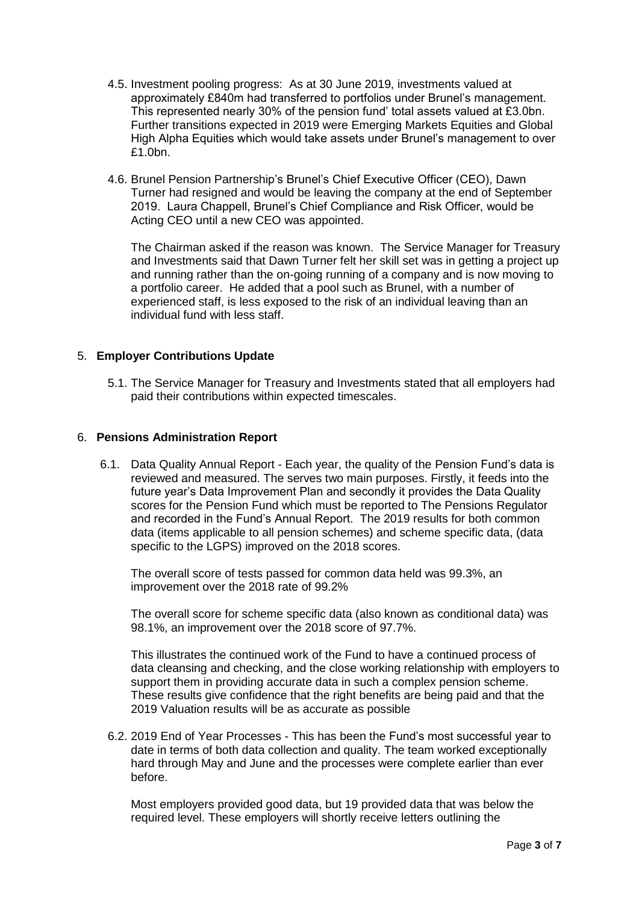- 4.5. Investment pooling progress: As at 30 June 2019, investments valued at approximately £840m had transferred to portfolios under Brunel's management. This represented nearly 30% of the pension fund' total assets valued at £3.0bn. Further transitions expected in 2019 were Emerging Markets Equities and Global High Alpha Equities which would take assets under Brunel's management to over £1.0bn.
- 4.6. Brunel Pension Partnership's Brunel's Chief Executive Officer (CEO), Dawn Turner had resigned and would be leaving the company at the end of September 2019. Laura Chappell, Brunel's Chief Compliance and Risk Officer, would be Acting CEO until a new CEO was appointed.

The Chairman asked if the reason was known. The Service Manager for Treasury and Investments said that Dawn Turner felt her skill set was in getting a project up and running rather than the on-going running of a company and is now moving to a portfolio career. He added that a pool such as Brunel, with a number of experienced staff, is less exposed to the risk of an individual leaving than an individual fund with less staff.

# 5. **Employer Contributions Update**

5.1. The Service Manager for Treasury and Investments stated that all employers had paid their contributions within expected timescales.

# 6. **Pensions Administration Report**

6.1. Data Quality Annual Report - Each year, the quality of the Pension Fund's data is reviewed and measured. The serves two main purposes. Firstly, it feeds into the future year's Data Improvement Plan and secondly it provides the Data Quality scores for the Pension Fund which must be reported to The Pensions Regulator and recorded in the Fund's Annual Report. The 2019 results for both common data (items applicable to all pension schemes) and scheme specific data, (data specific to the LGPS) improved on the 2018 scores.

The overall score of tests passed for common data held was 99.3%, an improvement over the 2018 rate of 99.2%

The overall score for scheme specific data (also known as conditional data) was 98.1%, an improvement over the 2018 score of 97.7%.

This illustrates the continued work of the Fund to have a continued process of data cleansing and checking, and the close working relationship with employers to support them in providing accurate data in such a complex pension scheme. These results give confidence that the right benefits are being paid and that the 2019 Valuation results will be as accurate as possible

6.2. 2019 End of Year Processes - This has been the Fund's most successful year to date in terms of both data collection and quality. The team worked exceptionally hard through May and June and the processes were complete earlier than ever before.

Most employers provided good data, but 19 provided data that was below the required level. These employers will shortly receive letters outlining the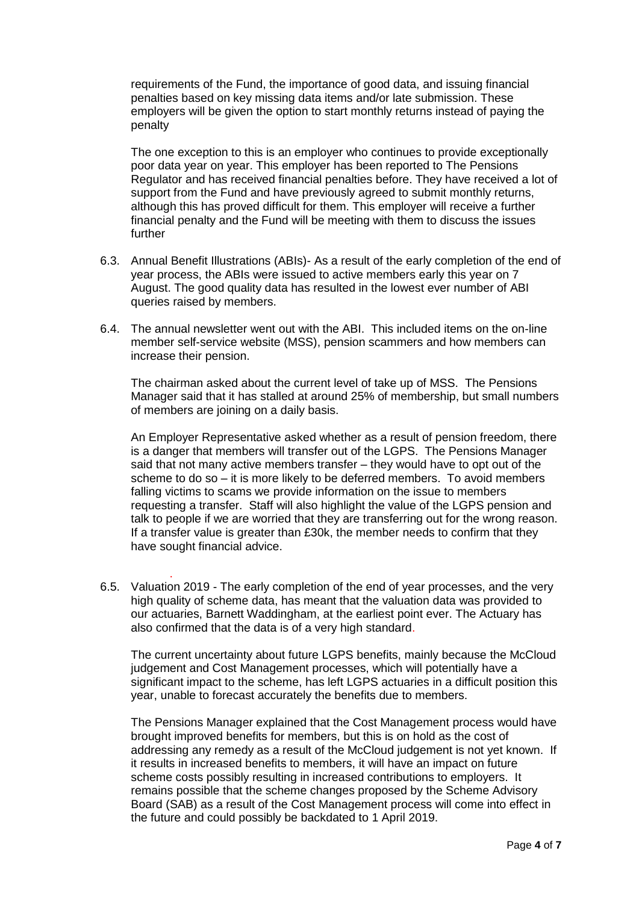requirements of the Fund, the importance of good data, and issuing financial penalties based on key missing data items and/or late submission. These employers will be given the option to start monthly returns instead of paying the penalty

The one exception to this is an employer who continues to provide exceptionally poor data year on year. This employer has been reported to The Pensions Regulator and has received financial penalties before. They have received a lot of support from the Fund and have previously agreed to submit monthly returns, although this has proved difficult for them. This employer will receive a further financial penalty and the Fund will be meeting with them to discuss the issues further

- 6.3. Annual Benefit Illustrations (ABIs)- As a result of the early completion of the end of year process, the ABIs were issued to active members early this year on 7 August. The good quality data has resulted in the lowest ever number of ABI queries raised by members.
- 6.4. The annual newsletter went out with the ABI. This included items on the on-line member self-service website (MSS), pension scammers and how members can increase their pension.

The chairman asked about the current level of take up of MSS. The Pensions Manager said that it has stalled at around 25% of membership, but small numbers of members are joining on a daily basis.

An Employer Representative asked whether as a result of pension freedom, there is a danger that members will transfer out of the LGPS. The Pensions Manager said that not many active members transfer – they would have to opt out of the scheme to do so – it is more likely to be deferred members. To avoid members falling victims to scams we provide information on the issue to members requesting a transfer. Staff will also highlight the value of the LGPS pension and talk to people if we are worried that they are transferring out for the wrong reason. If a transfer value is greater than £30k, the member needs to confirm that they have sought financial advice.

. 6.5. Valuation 2019 - The early completion of the end of year processes, and the very high quality of scheme data, has meant that the valuation data was provided to our actuaries, Barnett Waddingham, at the earliest point ever. The Actuary has also confirmed that the data is of a very high standard.

The current uncertainty about future LGPS benefits, mainly because the McCloud judgement and Cost Management processes, which will potentially have a significant impact to the scheme, has left LGPS actuaries in a difficult position this year, unable to forecast accurately the benefits due to members.

The Pensions Manager explained that the Cost Management process would have brought improved benefits for members, but this is on hold as the cost of addressing any remedy as a result of the McCloud judgement is not yet known. If it results in increased benefits to members, it will have an impact on future scheme costs possibly resulting in increased contributions to employers. It remains possible that the scheme changes proposed by the Scheme Advisory Board (SAB) as a result of the Cost Management process will come into effect in the future and could possibly be backdated to 1 April 2019.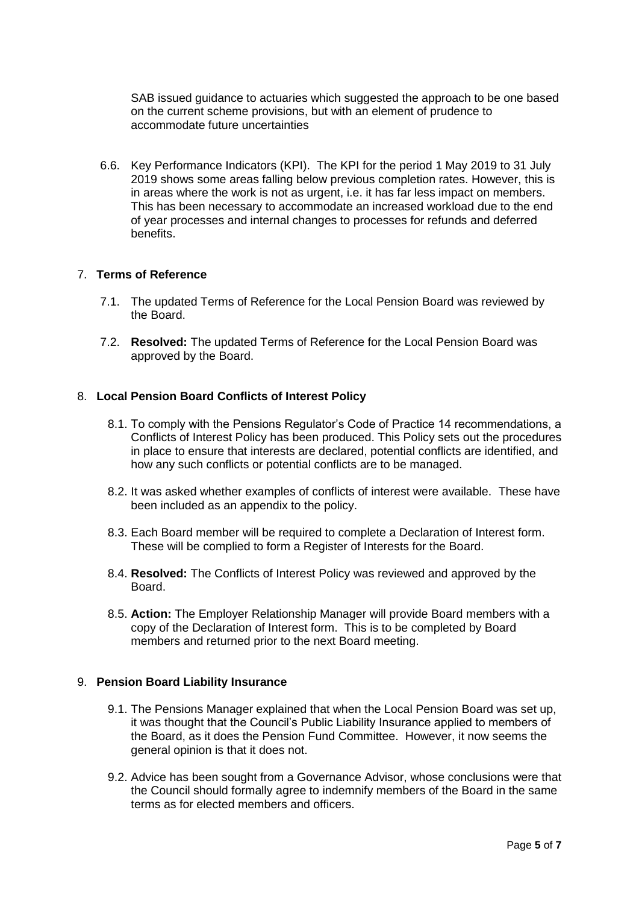SAB issued guidance to actuaries which suggested the approach to be one based on the current scheme provisions, but with an element of prudence to accommodate future uncertainties

6.6. Key Performance Indicators (KPI). The KPI for the period 1 May 2019 to 31 July 2019 shows some areas falling below previous completion rates. However, this is in areas where the work is not as urgent, i.e. it has far less impact on members. This has been necessary to accommodate an increased workload due to the end of year processes and internal changes to processes for refunds and deferred benefits.

## 7. **Terms of Reference**

- 7.1. The updated Terms of Reference for the Local Pension Board was reviewed by the Board.
- 7.2. **Resolved:** The updated Terms of Reference for the Local Pension Board was approved by the Board.

## 8. **Local Pension Board Conflicts of Interest Policy**

- 8.1. To comply with the Pensions Regulator's Code of Practice 14 recommendations, a Conflicts of Interest Policy has been produced. This Policy sets out the procedures in place to ensure that interests are declared, potential conflicts are identified, and how any such conflicts or potential conflicts are to be managed.
- 8.2. It was asked whether examples of conflicts of interest were available. These have been included as an appendix to the policy.
- 8.3. Each Board member will be required to complete a Declaration of Interest form. These will be complied to form a Register of Interests for the Board.
- 8.4. **Resolved:** The Conflicts of Interest Policy was reviewed and approved by the Board.
- 8.5. **Action:** The Employer Relationship Manager will provide Board members with a copy of the Declaration of Interest form. This is to be completed by Board members and returned prior to the next Board meeting.

#### 9. **Pension Board Liability Insurance**

- 9.1. The Pensions Manager explained that when the Local Pension Board was set up, it was thought that the Council's Public Liability Insurance applied to members of the Board, as it does the Pension Fund Committee. However, it now seems the general opinion is that it does not.
- 9.2. Advice has been sought from a Governance Advisor, whose conclusions were that the Council should formally agree to indemnify members of the Board in the same terms as for elected members and officers.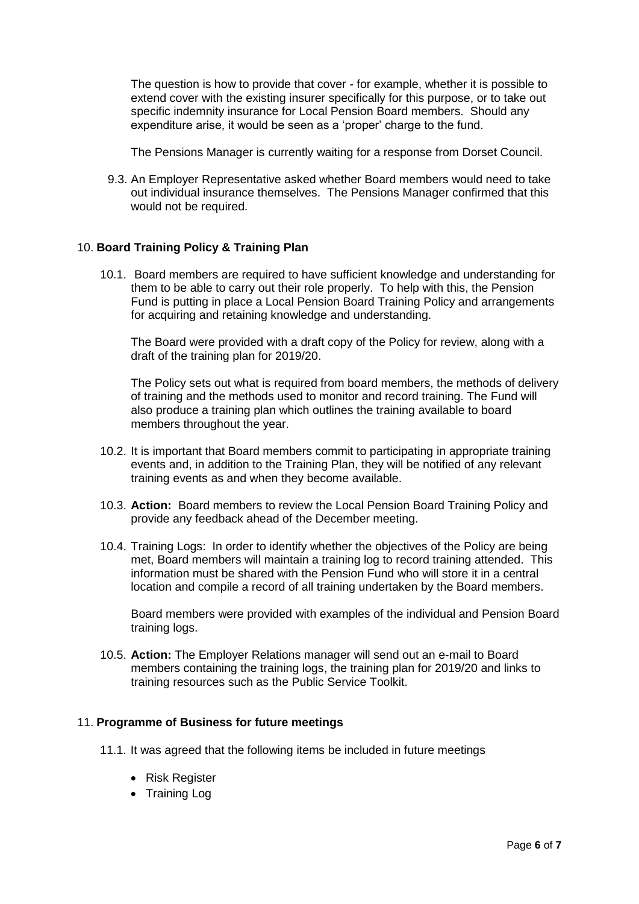The question is how to provide that cover - for example, whether it is possible to extend cover with the existing insurer specifically for this purpose, or to take out specific indemnity insurance for Local Pension Board members. Should any expenditure arise, it would be seen as a 'proper' charge to the fund.

The Pensions Manager is currently waiting for a response from Dorset Council.

9.3. An Employer Representative asked whether Board members would need to take out individual insurance themselves. The Pensions Manager confirmed that this would not be required.

# 10. **Board Training Policy & Training Plan**

10.1. Board members are required to have sufficient knowledge and understanding for them to be able to carry out their role properly. To help with this, the Pension Fund is putting in place a Local Pension Board Training Policy and arrangements for acquiring and retaining knowledge and understanding.

The Board were provided with a draft copy of the Policy for review, along with a draft of the training plan for 2019/20.

The Policy sets out what is required from board members, the methods of delivery of training and the methods used to monitor and record training. The Fund will also produce a training plan which outlines the training available to board members throughout the year.

- 10.2. It is important that Board members commit to participating in appropriate training events and, in addition to the Training Plan, they will be notified of any relevant training events as and when they become available.
- 10.3. **Action:** Board members to review the Local Pension Board Training Policy and provide any feedback ahead of the December meeting.
- 10.4. Training Logs: In order to identify whether the objectives of the Policy are being met, Board members will maintain a training log to record training attended. This information must be shared with the Pension Fund who will store it in a central location and compile a record of all training undertaken by the Board members.

Board members were provided with examples of the individual and Pension Board training logs.

10.5. **Action:** The Employer Relations manager will send out an e-mail to Board members containing the training logs, the training plan for 2019/20 and links to training resources such as the Public Service Toolkit.

#### 11. **Programme of Business for future meetings**

- 11.1. It was agreed that the following items be included in future meetings
	- Risk Register
	- Training Log